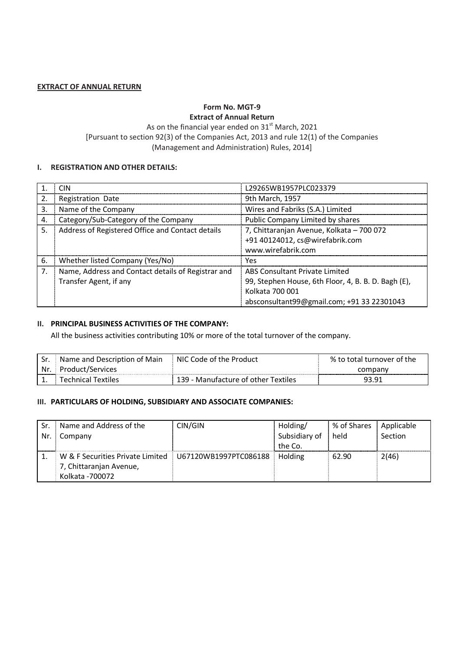#### **EXTRACT OF ANNUAL RETURN**

## **Form No. MGT-9 Extract of Annual Return**

As on the financial year ended on  $31<sup>st</sup>$  March, 2021 [Pursuant to section 92(3) of the Companies Act, 2013 and rule 12(1) of the Companies (Management and Administration) Rules, 2014]

#### **I. REGISTRATION AND OTHER DETAILS:**

|     | <b>CIN</b>                                         | L29265WB1957PLC023379                               |
|-----|----------------------------------------------------|-----------------------------------------------------|
| 2.  | Registration Date                                  | 9th March, 1957                                     |
| 3.  | Name of the Company                                | Wires and Fabriks (S.A.) Limited                    |
| 4.  | Category/Sub-Category of the Company               | Public Company Limited by shares                    |
| .5. | Address of Registered Office and Contact details   | 7, Chittaranjan Avenue, Kolkata - 700 072           |
|     |                                                    | +91 40124012, cs@wirefabrik.com                     |
|     |                                                    | www.wirefabrik.com                                  |
| 6.  | Whether listed Company (Yes/No)                    | Yes                                                 |
| 7.  | Name, Address and Contact details of Registrar and | ABS Consultant Private Limited                      |
|     | Transfer Agent, if any                             | 99, Stephen House, 6th Floor, 4, B. B. D. Bagh (E), |
|     |                                                    | Kolkata 700 001                                     |
|     |                                                    | absconsultant99@gmail.com; +91 33 22301043          |

## **II. PRINCIPAL BUSINESS ACTIVITIES OF THE COMPANY:**

All the business activities contributing 10% or more of the total turnover of the company.

| l Sr. | Name and Description of Main | NIC Code of the Product             | % to total turnover of the |
|-------|------------------------------|-------------------------------------|----------------------------|
|       | Nr. Product/Services         |                                     | company                    |
|       | Technical Textiles           | 139 - Manufacture of other Textiles | 93.91                      |

## **III. PARTICULARS OF HOLDING, SUBSIDIARY AND ASSOCIATE COMPANIES:**

| Sr. | Name and Address of the          | CIN/GIN               | Holding/      | % of Shares | Applicable |
|-----|----------------------------------|-----------------------|---------------|-------------|------------|
| Nr. | Company                          |                       | Subsidiary of | held        | Section    |
|     |                                  |                       | the Co.       |             |            |
|     | W & F Securities Private Limited | U67120WB1997PTC086188 | Holding       | 62.90       | 2(46)      |
|     | 7, Chittaranjan Avenue,          |                       |               |             |            |
|     | Kolkata - 700072                 |                       |               |             |            |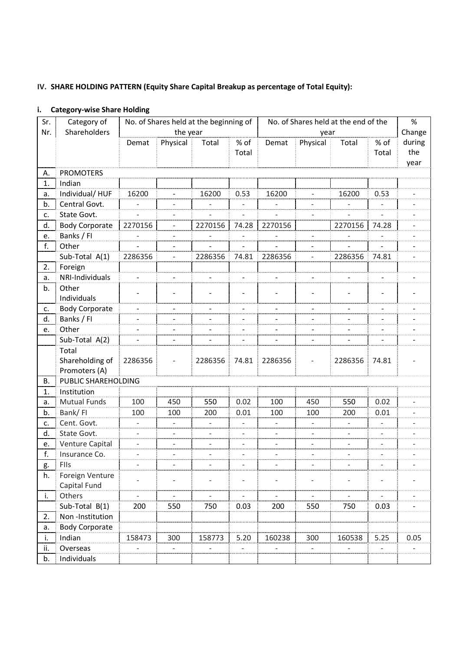# **IV. SHARE HOLDING PATTERN (Equity Share Capital Breakup as percentage of Total Equity):**

# **i. Category-wise Share Holding**

| Sr. | Category of           |                              |                              | No. of Shares held at the beginning of |                          | No. of Shares held at the end of the |                          |                | $\%$                     |        |
|-----|-----------------------|------------------------------|------------------------------|----------------------------------------|--------------------------|--------------------------------------|--------------------------|----------------|--------------------------|--------|
| Nr. | Shareholders          |                              | the year                     |                                        |                          |                                      | year                     |                |                          | Change |
|     |                       | Demat                        | Physical                     | Total                                  | % of                     | Demat                                | Physical                 | Total          | % of                     | during |
|     |                       |                              |                              |                                        | Total                    |                                      |                          |                | Total                    | the    |
|     |                       |                              |                              |                                        |                          |                                      |                          |                |                          | year   |
| А.  | <b>PROMOTERS</b>      |                              |                              |                                        |                          |                                      |                          |                |                          |        |
| 1.  | Indian                |                              |                              |                                        |                          |                                      |                          |                |                          |        |
| а.  | Individual/HUF        | 16200                        |                              | 16200                                  | 0.53                     | 16200                                |                          | 16200          | 0.53                     |        |
| b.  | Central Govt.         | $\qquad \qquad \blacksquare$ | $\overline{a}$               | $\overline{\phantom{a}}$               | $\overline{\phantom{a}}$ | $\overline{\phantom{0}}$             | $\overline{\phantom{m}}$ | $\frac{1}{2}$  | $\overline{\phantom{a}}$ |        |
| c.  | State Govt.           | $\overline{a}$               |                              |                                        |                          |                                      |                          |                |                          |        |
| d.  | <b>Body Corporate</b> | 2270156                      | $\bar{a}$                    | 2270156                                | 74.28                    | 2270156                              |                          | 2270156        | 74.28                    |        |
| e.  | Banks / FI            |                              |                              |                                        |                          |                                      |                          |                |                          |        |
| f.  | Other                 | $\overline{\phantom{a}}$     | $\overline{\phantom{0}}$     | $\overline{\phantom{0}}$               |                          |                                      |                          |                |                          |        |
|     | Sub-Total A(1)        | 2286356                      | $\overline{\phantom{a}}$     | 2286356                                | 74.81                    | 2286356                              | $\overline{\phantom{a}}$ | 2286356        | 74.81                    |        |
| 2.  | Foreign               |                              |                              |                                        |                          |                                      |                          |                |                          |        |
| а.  | NRI-Individuals       |                              |                              | $\overline{\phantom{a}}$               |                          |                                      | $\overline{\phantom{a}}$ |                |                          |        |
| b.  | Other                 |                              |                              |                                        |                          |                                      |                          |                |                          |        |
|     | Individuals           |                              |                              |                                        | $\overline{\phantom{a}}$ |                                      |                          |                | $\overline{\phantom{a}}$ |        |
| c.  | <b>Body Corporate</b> | $\blacksquare$               |                              | $\overline{\phantom{0}}$               | $\overline{a}$           |                                      |                          | $\overline{a}$ |                          |        |
| d.  | Banks / FI            | $\overline{\phantom{a}}$     | $\overline{\phantom{a}}$     | $\overline{\phantom{a}}$               | -                        |                                      | $\overline{\phantom{a}}$ |                |                          |        |
| e.  | Other                 | $\frac{1}{2}$                | $\overline{\phantom{a}}$     | $\overline{\phantom{a}}$               | $\overline{\phantom{a}}$ | $\overline{\phantom{0}}$             | $\overline{\phantom{a}}$ | $\overline{a}$ | $\overline{\phantom{a}}$ |        |
|     | Sub-Total A(2)        | $\blacksquare$               | $\blacksquare$               | $\overline{\phantom{0}}$               | $\overline{\phantom{0}}$ | L,                                   | $\overline{\phantom{a}}$ |                | $\blacksquare$           |        |
|     | Total                 |                              |                              |                                        |                          |                                      |                          |                |                          |        |
|     | Shareholding of       | 2286356                      |                              | 2286356                                | 74.81                    | 2286356                              |                          | 2286356        | 74.81                    |        |
|     | Promoters (A)         |                              |                              |                                        |                          |                                      |                          |                |                          |        |
| В.  | PUBLIC SHAREHOLDING   |                              |                              |                                        |                          |                                      |                          |                |                          |        |
| 1.  | Institution           |                              |                              |                                        |                          |                                      |                          |                |                          |        |
| а.  | <b>Mutual Funds</b>   | 100                          | 450                          | 550                                    | 0.02                     | 100                                  | 450                      | 550            | 0.02                     |        |
| b.  | Bank/FI               | 100                          | 100                          | 200                                    | 0.01                     | 100                                  | 100                      | 200            | 0.01                     |        |
| c.  | Cent. Govt.           | $\Box$                       |                              | $\overline{\phantom{0}}$               |                          |                                      |                          |                | $\bar{a}$                |        |
| d.  | State Govt.           | $\bar{a}$                    | $\bar{ }$                    | $\overline{a}$                         | $\overline{a}$           |                                      |                          | $\overline{a}$ |                          |        |
| е.  | Venture Capital       | $\overline{\phantom{a}}$     |                              |                                        |                          |                                      |                          |                |                          |        |
| f.  | Insurance Co.         | $\overline{\phantom{a}}$     | $\qquad \qquad \blacksquare$ | $\qquad \qquad \blacksquare$           | $\qquad \qquad -$        |                                      | $\overline{a}$           | $\frac{1}{2}$  | $\overline{\phantom{0}}$ |        |
| g.  | FIIs                  |                              |                              |                                        |                          |                                      |                          |                |                          |        |
| h.  | Foreign Venture       |                              |                              |                                        |                          |                                      |                          |                |                          |        |
|     | Capital Fund          |                              |                              |                                        |                          |                                      |                          |                |                          |        |
| i.  | Others                |                              |                              |                                        |                          |                                      |                          |                |                          |        |
|     | Sub-Total B(1)        | 200                          | 550                          | 750                                    | 0.03                     | 200                                  | 550                      | 750            | 0.03                     |        |
| 2.  | Non-Institution       |                              |                              |                                        |                          |                                      |                          |                |                          |        |
| а.  | <b>Body Corporate</b> |                              |                              |                                        |                          |                                      |                          |                |                          |        |
| i.  | Indian                | 158473                       | 300                          | 158773                                 | 5.20                     | 160238                               | 300                      | 160538         | 5.25                     | 0.05   |
| ii. | Overseas              |                              |                              |                                        |                          |                                      |                          |                |                          |        |
| b.  | Individuals           |                              |                              |                                        |                          |                                      |                          |                |                          |        |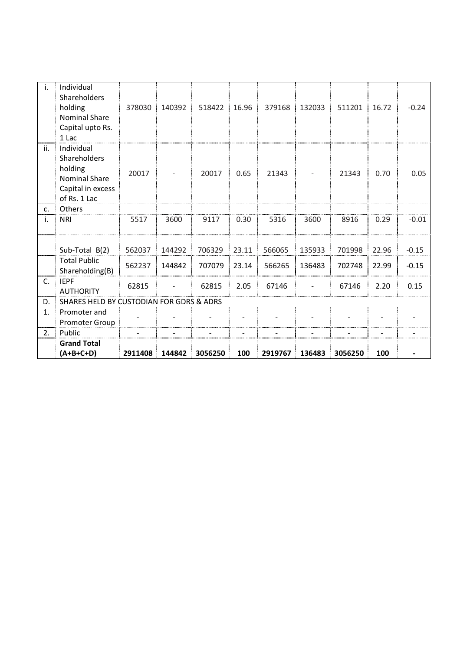| i.  | Individual<br>Shareholders<br>holding<br><b>Nominal Share</b><br>Capital upto Rs.<br>1 Lac         | 378030  | 140392 | 518422  | 16.96          | 379168  | 132033 | 511201  | 16.72 | $-0.24$ |
|-----|----------------------------------------------------------------------------------------------------|---------|--------|---------|----------------|---------|--------|---------|-------|---------|
| ii. | Individual<br>Shareholders<br>holding<br><b>Nominal Share</b><br>Capital in excess<br>of Rs. 1 Lac | 20017   |        | 20017   | 0.65           | 21343   |        | 21343   | 0.70  | 0.05    |
| C.  | Others                                                                                             |         |        |         |                |         |        |         |       |         |
| i.  | <b>NRI</b>                                                                                         | 5517    | 3600   | 9117    | 0.30           | 5316    | 3600   | 8916    | 0.29  | $-0.01$ |
|     | Sub-Total B(2)                                                                                     | 562037  | 144292 | 706329  | 23.11          | 566065  | 135933 | 701998  | 22.96 | $-0.15$ |
|     | <b>Total Public</b><br>Shareholding(B)                                                             | 562237  | 144842 | 707079  | 23.14          | 566265  | 136483 | 702748  | 22.99 | $-0.15$ |
| C.  | <b>IEPF</b><br><b>AUTHORITY</b>                                                                    | 62815   |        | 62815   | 2.05           | 67146   |        | 67146   | 2.20  | 0.15    |
| D.  | SHARES HELD BY CUSTODIAN FOR GDRS & ADRS                                                           |         |        |         |                |         |        |         |       |         |
| 1.  | Promoter and<br><b>Promoter Group</b>                                                              |         |        |         |                |         |        |         |       |         |
| 2.  | Public                                                                                             | L.      |        |         | $\overline{a}$ |         |        |         |       |         |
|     | <b>Grand Total</b><br>(A+B+C+D)                                                                    | 2911408 | 144842 | 3056250 | 100            | 2919767 | 136483 | 3056250 | 100   |         |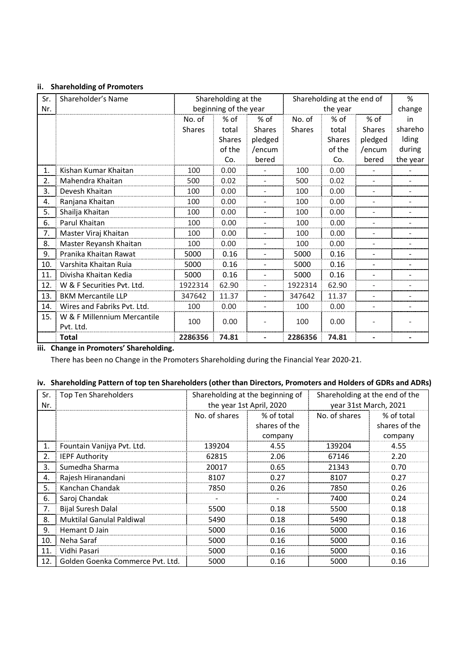## **ii. Shareholding of Promoters**

| Sr. | Shareholder's Name          |               | Shareholding at the   |                          | Shareholding at the end of |               | %                        |                          |
|-----|-----------------------------|---------------|-----------------------|--------------------------|----------------------------|---------------|--------------------------|--------------------------|
| Nr. |                             |               | beginning of the year |                          |                            | the year      |                          | change                   |
|     |                             | No. of        | % of                  | $%$ of                   | No. of                     | % of          | % of                     | in                       |
|     |                             | <b>Shares</b> | total                 | <b>Shares</b>            | <b>Shares</b>              | total         | Shares                   | shareho                  |
|     |                             |               | <b>Shares</b>         | pledged                  |                            | <b>Shares</b> | pledged                  | Iding                    |
|     |                             |               | of the                | /encum                   |                            | of the        | /encum                   | during                   |
|     |                             |               | Co.                   | bered                    |                            | Co.           | bered                    | the year                 |
| 1.  | Kishan Kumar Khaitan        | 100           | 0.00                  |                          | 100                        | 0.00          | $\overline{\phantom{0}}$ |                          |
| 2.  | Mahendra Khaitan            | 500           | 0.02                  | $\overline{\phantom{a}}$ | 500                        | 0.02          | $\overline{\phantom{a}}$ |                          |
| 3.  | Devesh Khaitan              | 100           | 0.00                  | L,                       | 100                        | 0.00          | $\overline{\phantom{a}}$ | $\sim$                   |
| 4.  | Ranjana Khaitan             | 100           | 0.00                  | L,                       | 100                        | 0.00          | $\overline{a}$           | $\overline{\phantom{0}}$ |
| 5.  | Shailja Khaitan             | 100           | 0.00                  |                          | 100                        | 0.00          | $\overline{a}$           |                          |
| 6.  | Parul Khaitan               | 100           | 0.00                  |                          | 100                        | 0.00          | ÷.                       |                          |
| 7.  | Master Viraj Khaitan        | 100           | 0.00                  |                          | 100                        | 0.00          | ۳                        |                          |
| 8.  | Master Reyansh Khaitan      | 100           | 0.00                  |                          | 100                        | 0.00          | $\overline{\phantom{0}}$ |                          |
| 9.  | Pranika Khaitan Rawat       | 5000          | 0.16                  |                          | 5000                       | 0.16          | ٠                        |                          |
| 10. | Varshita Khaitan Ruia       | 5000          | 0.16                  |                          | 5000                       | 0.16          | $\overline{\phantom{0}}$ |                          |
| 11. | Divisha Khaitan Kedia       | 5000          | 0.16                  | $\overline{a}$           | 5000                       | 0.16          | $\overline{\phantom{a}}$ |                          |
| 12. | W & F Securities Pvt. Ltd.  | 1922314       | 62.90                 | L,                       | 1922314                    | 62.90         | $\overline{\phantom{0}}$ |                          |
| 13. | <b>BKM Mercantile LLP</b>   | 347642        | 11.37                 | $\overline{\phantom{a}}$ | 347642                     | 11.37         | $\overline{\phantom{a}}$ | $\sim$                   |
| 14. | Wires and Fabriks Pvt. Ltd. | 100           | 0.00                  |                          | 100                        | 0.00          | $\overline{\phantom{0}}$ |                          |
| 15. | W & F Millennium Mercantile | 100           | 0.00                  |                          | 100                        |               |                          |                          |
|     | Pvt. Ltd.                   |               |                       |                          |                            | 0.00          |                          |                          |
|     | <b>Total</b>                | 2286356       | 74.81                 |                          | 2286356                    | 74.81         |                          |                          |

**iii. Change in Promoters' Shareholding.** 

There has been no Change in the Promoters Shareholding during the Financial Year 2020-21.

# **iv. Shareholding Pattern of top ten Shareholders (other than Directors, Promoters and Holders of GDRs and ADRs)**

| Sr.<br>Nr. | <b>Top Ten Shareholders</b>      | Shareholding at the beginning of<br>the year 1st April, 2020 |               | Shareholding at the end of the<br>year 31st March, 2021 |               |
|------------|----------------------------------|--------------------------------------------------------------|---------------|---------------------------------------------------------|---------------|
|            |                                  | No. of shares                                                | % of total    | No. of shares                                           | % of total    |
|            |                                  |                                                              |               |                                                         |               |
|            |                                  |                                                              | shares of the |                                                         | shares of the |
|            |                                  |                                                              | company       |                                                         | company       |
| 1.         | Fountain Vanijya Pvt. Ltd.       | 139204                                                       | 4.55          | 139204                                                  | 4.55          |
| 2.         | <b>IEPF Authority</b>            | 62815                                                        | 2.06          | 67146                                                   | 2.20          |
| 3.         | Sumedha Sharma                   | 20017                                                        | 0.65          | 21343                                                   | 0.70          |
| 4.         | Rajesh Hiranandani               | 8107                                                         | 0.27          | 8107                                                    | 0.27          |
| 5.         | Kanchan Chandak                  | 7850                                                         | 0.26          | 7850                                                    | 0.26          |
| 6.         | Saroj Chandak                    |                                                              |               | 7400                                                    | 0.24          |
| 7.         | <b>Bijal Suresh Dalal</b>        | 5500                                                         | 0.18          | 5500                                                    | 0.18          |
| 8.         | <b>Muktilal Ganulal Paldiwal</b> | 5490                                                         | 0.18          | 5490                                                    | 0.18          |
| 9.         | Hemant D Jain                    | 5000                                                         | 0.16          | 5000                                                    | 0.16          |
| 10.        | Neha Saraf                       | 5000                                                         | 0.16          | 5000                                                    | 0.16          |
| 11.        | Vidhi Pasari                     | 5000                                                         | 0.16          | 5000                                                    | 0.16          |
| 12.        | Golden Goenka Commerce Pvt. Ltd. | 5000                                                         | 0.16          | 5000                                                    | 0.16          |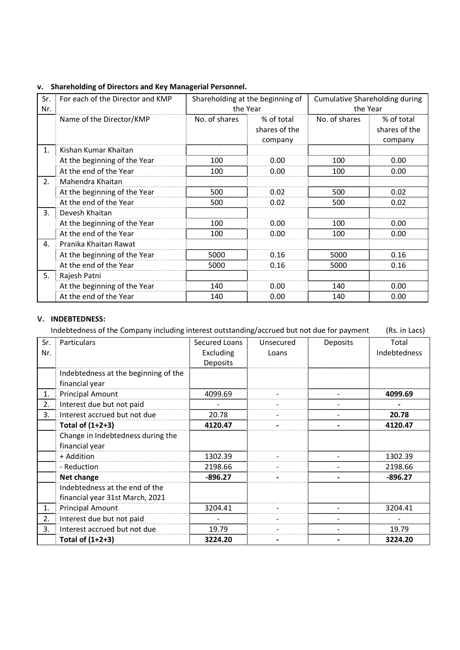| Sr.<br>Nr.     | For each of the Director and KMP<br>Shareholding at the beginning of<br>the Year |               | <b>Cumulative Shareholding during</b><br>the Year |               |                                        |
|----------------|----------------------------------------------------------------------------------|---------------|---------------------------------------------------|---------------|----------------------------------------|
|                | Name of the Director/KMP                                                         | No. of shares | % of total<br>shares of the<br>company            | No. of shares | % of total<br>shares of the<br>company |
| $\mathbf{1}$ . | Kishan Kumar Khaitan                                                             |               |                                                   |               |                                        |
|                | At the beginning of the Year                                                     | 100           | 0.00                                              | 100           | 0.00                                   |
|                | At the end of the Year                                                           | 100           | 0.00                                              | 100           | 0.00                                   |
| 2.             | Mahendra Khaitan                                                                 |               |                                                   |               |                                        |
|                | At the beginning of the Year                                                     | 500           | 0.02                                              | 500           | 0.02                                   |
|                | At the end of the Year                                                           | 500           | 0.02                                              | 500           | 0.02                                   |
| $\mathbf{3}$ . | Devesh Khaitan                                                                   |               |                                                   |               |                                        |
|                | At the beginning of the Year                                                     | 100           | 0.00                                              | 100           | 0.00                                   |
|                | At the end of the Year                                                           | 100           | 0.00                                              | 100           | 0.00                                   |
| 4.             | Pranika Khaitan Rawat                                                            |               |                                                   |               |                                        |
|                | At the beginning of the Year                                                     | 5000          | 0.16                                              | 5000          | 0.16                                   |
|                | At the end of the Year                                                           | 5000          | 0.16                                              | 5000          | 0.16                                   |
| 5.             | Rajesh Patni                                                                     |               |                                                   |               |                                        |
|                | At the beginning of the Year                                                     | 140           | 0.00                                              | 140           | 0.00                                   |
|                | At the end of the Year                                                           | 140           | 0.00                                              | 140           | 0.00                                   |

# **v. Shareholding of Directors and Key Managerial Personnel.**

## **V. INDEBTEDNESS:**

Indebtedness of the Company including interest outstanding/accrued but not due for payment (Rs. in Lacs)

| Sr. | Particulars                          | Secured Loans   | Unsecured | Deposits | Total        |
|-----|--------------------------------------|-----------------|-----------|----------|--------------|
| Nr. |                                      | Excluding       | Loans     |          | Indebtedness |
|     |                                      | <b>Deposits</b> |           |          |              |
|     | Indebtedness at the beginning of the |                 |           |          |              |
|     | financial year                       |                 |           |          |              |
| 1.  | <b>Principal Amount</b>              | 4099.69         |           |          | 4099.69      |
| 2.  | Interest due but not paid            |                 |           |          |              |
| 3.  | Interest accrued but not due         | 20.78           |           |          | 20.78        |
|     | Total of (1+2+3)                     | 4120.47         |           |          | 4120.47      |
|     | Change in Indebtedness during the    |                 |           |          |              |
|     | financial year                       |                 |           |          |              |
|     | + Addition                           | 1302.39         |           |          | 1302.39      |
|     | - Reduction                          | 2198.66         |           |          | 2198.66      |
|     | <b>Net change</b>                    | $-896.27$       |           |          | $-896.27$    |
|     | Indebtedness at the end of the       |                 |           |          |              |
|     | financial year 31st March, 2021      |                 |           |          |              |
| 1.  | <b>Principal Amount</b>              | 3204.41         |           |          | 3204.41      |
| 2.  | Interest due but not paid            |                 |           |          |              |
| 3.  | Interest accrued but not due         | 19.79           |           |          | 19.79        |
|     | Total of (1+2+3)                     | 3224.20         |           |          | 3224.20      |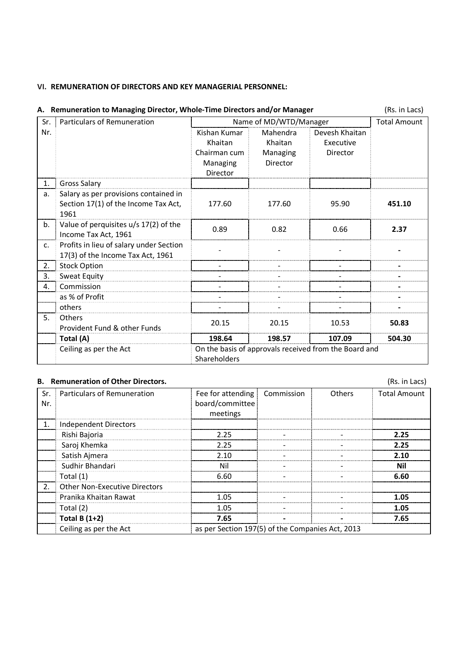## **VI. REMUNERATION OF DIRECTORS AND KEY MANAGERIAL PERSONNEL:**

|     | A. Remuneration to Managing Director, Whole-Time Directors and/or Manager |              |                        |                                                       |                     |  |  |
|-----|---------------------------------------------------------------------------|--------------|------------------------|-------------------------------------------------------|---------------------|--|--|
| Sr. | Particulars of Remuneration                                               |              | Name of MD/WTD/Manager |                                                       | <b>Total Amount</b> |  |  |
| Nr. |                                                                           | Kishan Kumar | Mahendra               | Devesh Khaitan                                        |                     |  |  |
|     |                                                                           | Khaitan      | Khaitan                | Executive                                             |                     |  |  |
|     |                                                                           | Chairman cum | Managing               | Director                                              |                     |  |  |
|     |                                                                           | Managing     | Director               |                                                       |                     |  |  |
|     |                                                                           | Director     |                        |                                                       |                     |  |  |
| 1.  | <b>Gross Salary</b>                                                       |              |                        |                                                       |                     |  |  |
| a.  | Salary as per provisions contained in                                     |              |                        |                                                       |                     |  |  |
|     | Section 17(1) of the Income Tax Act,<br>1961                              | 177.60       | 177.60                 | 95.90                                                 | 451.10              |  |  |
| b.  | Value of perquisites u/s 17(2) of the                                     |              |                        |                                                       |                     |  |  |
|     | Income Tax Act, 1961                                                      | 0.89         | 0.82                   | 0.66                                                  | 2.37                |  |  |
| c.  | Profits in lieu of salary under Section                                   |              |                        |                                                       |                     |  |  |
|     | 17(3) of the Income Tax Act, 1961                                         |              |                        |                                                       |                     |  |  |
| 2.  | <b>Stock Option</b>                                                       |              |                        |                                                       |                     |  |  |
| 3.  | Sweat Equity                                                              |              |                        |                                                       |                     |  |  |
| 4.  | Commission                                                                |              |                        |                                                       |                     |  |  |
|     | as % of Profit                                                            |              |                        |                                                       |                     |  |  |
|     | others                                                                    |              |                        |                                                       |                     |  |  |
| 5.  | <b>Others</b>                                                             | 20.15        | 20.15                  | 10.53                                                 | 50.83               |  |  |
|     | Provident Fund & other Funds                                              |              |                        |                                                       |                     |  |  |
|     | Total (A)                                                                 | 198.64       | 198.57                 | 107.09                                                | 504.30              |  |  |
|     | Ceiling as per the Act                                                    |              |                        | On the basis of approvals received from the Board and |                     |  |  |
|     |                                                                           | Shareholders |                        |                                                       |                     |  |  |

|                                                                            | <b>B.</b> Remuneration of Other Directors. |                                |  |               | (Rs. in Lacs)       |  |
|----------------------------------------------------------------------------|--------------------------------------------|--------------------------------|--|---------------|---------------------|--|
| Sr.                                                                        | Particulars of Remuneration                | Fee for attending   Commission |  | <b>Others</b> | <b>Total Amount</b> |  |
| Nr.                                                                        |                                            | board/committee                |  |               |                     |  |
|                                                                            |                                            | meetings                       |  |               |                     |  |
|                                                                            | Independent Directors                      |                                |  |               |                     |  |
|                                                                            | Rishi Bajoria                              | 2.25                           |  |               | 2.25                |  |
|                                                                            | Saroj Khemka                               | 2.25                           |  |               | 2.25                |  |
|                                                                            | Satish Ajmera                              | 2.10                           |  |               | 2.10                |  |
|                                                                            | Sudhir Bhandari                            | Nil                            |  |               | Nil                 |  |
|                                                                            | Total (1)                                  | 6.60                           |  |               | 6.60                |  |
| 2 <sup>1</sup>                                                             | <b>Other Non-Executive Directors</b>       |                                |  |               |                     |  |
|                                                                            | Pranika Khaitan Rawat                      | 1.05                           |  |               | 1.05                |  |
|                                                                            | Total (2)                                  | 1.05                           |  |               | 1.05                |  |
|                                                                            | Total B $(1+2)$                            | 7.65                           |  |               | 7.65                |  |
| as per Section 197(5) of the Companies Act, 2013<br>Ceiling as per the Act |                                            |                                |  |               |                     |  |